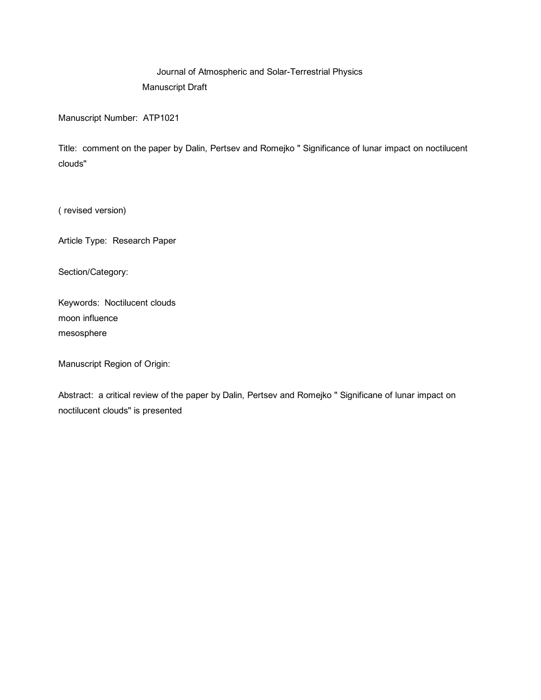## Journal of Atmospheric and Solar-Terrestrial Physics Manuscript Draft

Manuscript Number: ATP1021

Title: comment on the paper by Dalin, Pertsev and Romejko " Significance of lunar impact on noctilucent clouds"

( revised version)

Article Type: Research Paper

Section/Category:

Keywords: Noctilucent clouds moon influence mesosphere

Manuscript Region of Origin:

Abstract: a critical review of the paper by Dalin, Pertsev and Romejko " Significane of lunar impact on noctilucent clouds" is presented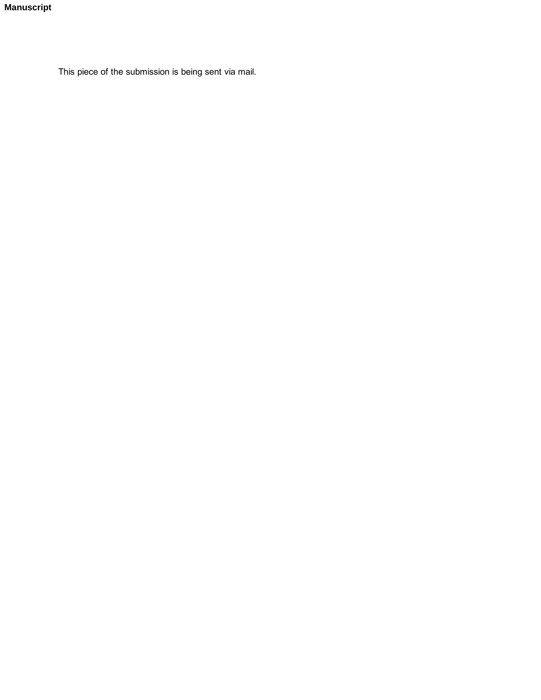This piece of the submission is being sent via mail.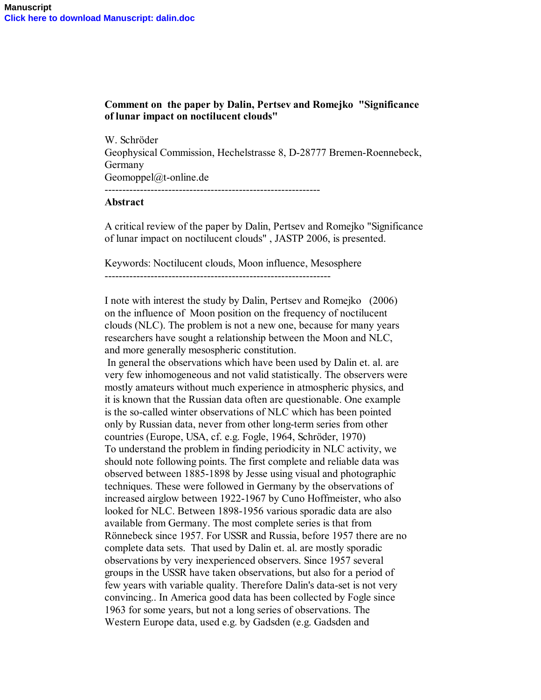## **Comment on the paper by Dalin, Pertsev and Romejko "Significance of lunar impact on noctilucent clouds"**

W. Schröder Geophysical Commission, Hechelstrasse 8, D-28777 Bremen-Roennebeck, Germany Geomoppel@t-online.de

-------------------------------------------------------------

## **Abstract**

A critical review of the paper by Dalin, Pertsev and Romejko "Significance of lunar impact on noctilucent clouds" , JASTP 2006, is presented.

Keywords: Noctilucent clouds, Moon influence, Mesosphere

 $-$ 

I note with interest the study by Dalin, Pertsev and Romejko (2006) on the influence of Moon position on the frequency of noctilucent clouds (NLC). The problem is not a new one, because for many years researchers have sought a relationship between the Moon and NLC, and more generally mesospheric constitution.

 In general the observations which have been used by Dalin et. al. are very few inhomogeneous and not valid statistically. The observers were mostly amateurs without much experience in atmospheric physics, and it is known that the Russian data often are questionable. One example is the so-called winter observations of NLC which has been pointed only by Russian data, never from other long-term series from other countries (Europe, USA, cf. e.g. Fogle, 1964, Schröder, 1970) To understand the problem in finding periodicity in NLC activity, we should note following points. The first complete and reliable data was observed between 1885-1898 by Jesse using visual and photographic techniques. These were followed in Germany by the observations of increased airglow between 1922-1967 by Cuno Hoffmeister, who also looked for NLC. Between 1898-1956 various sporadic data are also available from Germany. The most complete series is that from Rönnebeck since 1957. For USSR and Russia, before 1957 there are no complete data sets. That used by Dalin et. al. are mostly sporadic observations by very inexperienced observers. Since 1957 several groups in the USSR have taken observations, but also for a period of few years with variable quality. Therefore Dalin's data-set is not very convincing.. In America good data has been collected by Fogle since 1963 for some years, but not a long series of observations. The Western Europe data, used e.g. by Gadsden (e.g. Gadsden and